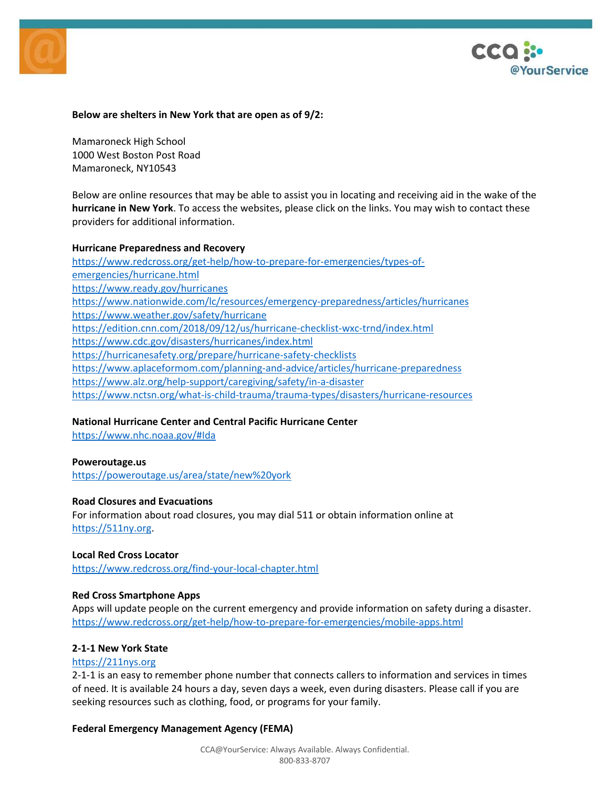



### **Below are shelters in New York that are open as of 9/2:**

Mamaroneck High School 1000 West Boston Post Road Mamaroneck, NY10543

Below are online resources that may be able to assist you in locating and receiving aid in the wake of the **hurricane in New York**. To access the websites, please click on the links. You may wish to contact these providers for additional information.

#### **Hurricane Preparedness and Recovery**

https://www.redcross.org/get-help/how-to-prepare-for-emergencies/types-ofemergencies/hurricane.html https://www.ready.gov/hurricanes https://www.nationwide.com/lc/resources/emergency-preparedness/articles/hurricanes https://www.weather.gov/safety/hurricane https://edition.cnn.com/2018/09/12/us/hurricane-checklist-wxc-trnd/index.html https://www.cdc.gov/disasters/hurricanes/index.html https://hurricanesafety.org/prepare/hurricane-safety-checklists https://www.aplaceformom.com/planning-and-advice/articles/hurricane-preparedness https://www.alz.org/help-support/caregiving/safety/in-a-disaster https://www.nctsn.org/what-is-child-trauma/trauma-types/disasters/hurricane-resources

# **National Hurricane Center and Central Pacific Hurricane Center**

https://www.nhc.noaa.gov/#Ida

#### **Poweroutage.us**

https://poweroutage.us/area/state/new%20york

#### **Road Closures and Evacuations**

For information about road closures, you may dial 511 or obtain information online at https://511ny.org.

#### **Local Red Cross Locator**

https://www.redcross.org/find-your-local-chapter.html

### **Red Cross Smartphone Apps**

Apps will update people on the current emergency and provide information on safety during a disaster. https://www.redcross.org/get-help/how-to-prepare-for-emergencies/mobile-apps.html

#### **2-1-1 New York State**

#### https://211nys.org

2-1-1 is an easy to remember phone number that connects callers to information and services in times of need. It is available 24 hours a day, seven days a week, even during disasters. Please call if you are seeking resources such as clothing, food, or programs for your family.

#### **Federal Emergency Management Agency (FEMA)**